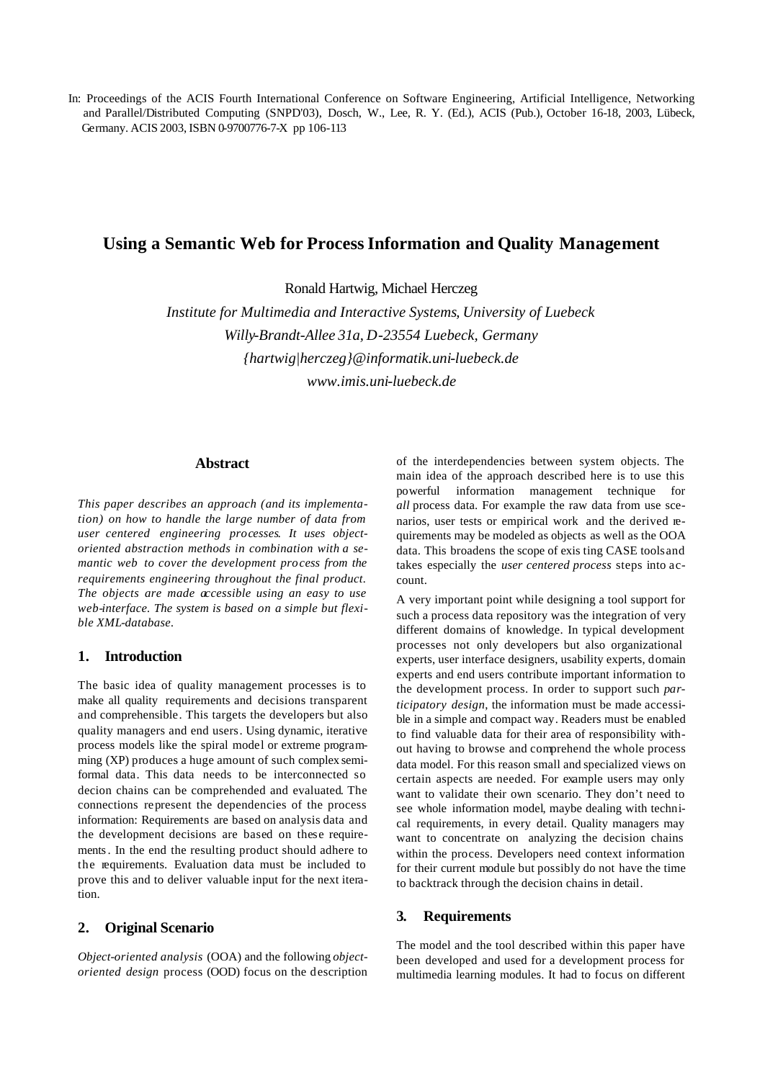In: Proceedings of the ACIS Fourth International Conference on Software Engineering, Artificial Intelligence, Networking and Parallel/Distributed Computing (SNPD'03), Dosch, W., Lee, R. Y. (Ed.), ACIS (Pub.), October 16-18, 2003, Lübeck, Germany. ACIS 2003, ISBN 0-9700776-7-X pp 106-113

# **Using a Semantic Web for Process Information and Quality Management**

Ronald Hartwig, Michael Herczeg

*Institute for Multimedia and Interactive Systems, University of Luebeck Willy-Brandt-Allee 31a, D-23554 Luebeck, Germany {hartwig|herczeg}@informatik.uni-luebeck.de www.imis.uni-luebeck.de*

#### **Abstract**

*This paper describes an approach (and its implementation) on how to handle the large number of data from user centered engineering processes. It uses objectoriented abstraction methods in combination with a semantic web to cover the development process from the requirements engineering throughout the final product. The objects are made accessible using an easy to use web-interface. The system is based on a simple but flexible XML-database.* 

# **1. Introduction**

The basic idea of quality management processes is to make all quality requirements and decisions transparent and comprehensible. This targets the developers but also quality managers and end users. Using dynamic, iterative process models like the spiral model or extreme programming (XP) produces a huge amount of such complex semiformal data. This data needs to be interconnected so decion chains can be comprehended and evaluated. The connections represent the dependencies of the process information: Requirements are based on analysis data and the development decisions are based on these requirements. In the end the resulting product should adhere to the requirements. Evaluation data must be included to prove this and to deliver valuable input for the next iteration.

## **2. Original Scenario**

*Object-oriented analysis* (OOA) and the following *objectoriented design* process (OOD) focus on the description of the interdependencies between system objects. The main idea of the approach described here is to use this powerful information management technique for *all* process data. For example the raw data from use scenarios, user tests or empirical work and the derived requirements may be modeled as objects as well as the OOA data. This broadens the scope of exis ting CASE tools and takes especially the *user centered process* steps into account.

A very important point while designing a tool support for such a process data repository was the integration of very different domains of knowledge. In typical development processes not only developers but also organizational experts, user interface designers, usability experts, domain experts and end users contribute important information to the development process. In order to support such *participatory design*, the information must be made accessible in a simple and compact way. Readers must be enabled to find valuable data for their area of responsibility without having to browse and comprehend the whole process data model. For this reason small and specialized views on certain aspects are needed. For example users may only want to validate their own scenario. They don't need to see whole information model, maybe dealing with technical requirements, in every detail. Quality managers may want to concentrate on analyzing the decision chains within the process. Developers need context information for their current module but possibly do not have the time to backtrack through the decision chains in detail.

## **3. Requirements**

The model and the tool described within this paper have been developed and used for a development process for multimedia learning modules. It had to focus on different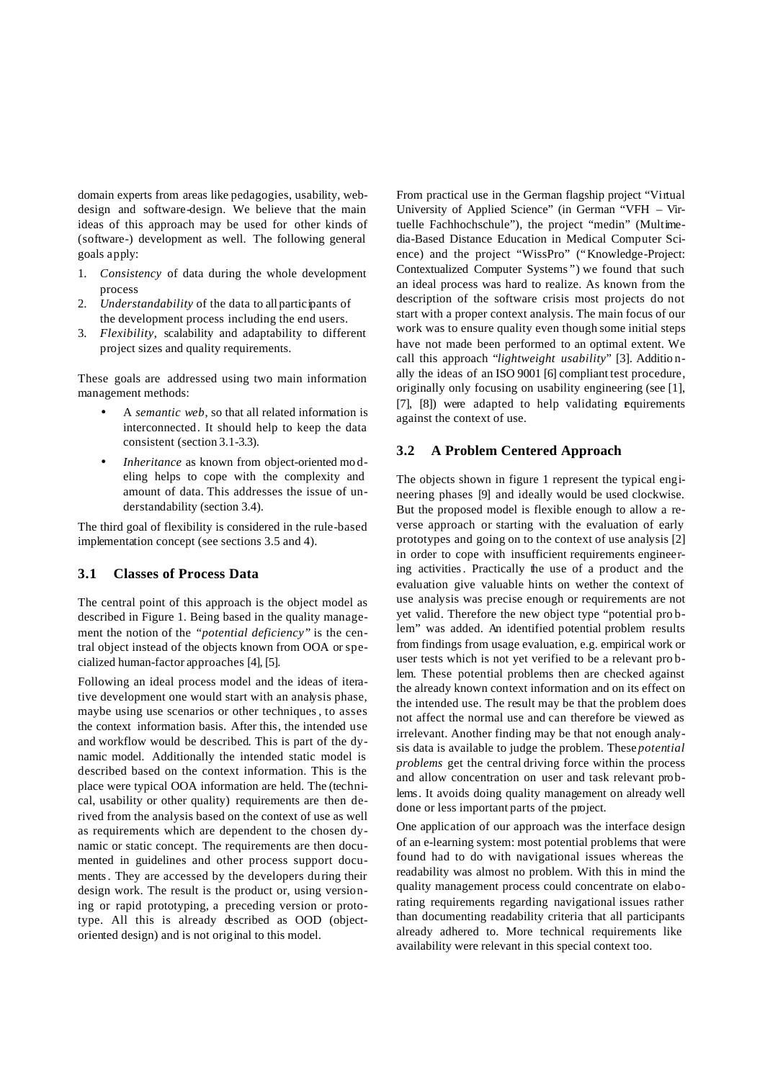domain experts from areas like pedagogies, usability, webdesign and software-design. We believe that the main ideas of this approach may be used for other kinds of (software-) development as well. The following general goals apply:

- 1. *Consistency* of data during the whole development process
- 2. *Understandability* of the data to all participants of the development process including the end users.
- 3. *Flexibility*, scalability and adaptability to different project sizes and quality requirements.

These goals are addressed using two main information management methods:

- A *semantic web*, so that all related information is interconnected. It should help to keep the data consistent (section 3.1-3.3).
- *Inheritance* as known from object-oriented mo deling helps to cope with the complexity and amount of data. This addresses the issue of understandability (section 3.4).

The third goal of flexibility is considered in the rule-based implementation concept (see sections 3.5 and 4).

#### **3.1 Classes of Process Data**

The central point of this approach is the object model as described in Figure 1. Being based in the quality management the notion of the *"potential deficiency"* is the central object instead of the objects known from OOA or specialized human-factor approaches [4], [5].

Following an ideal process model and the ideas of iterative development one would start with an analysis phase, maybe using use scenarios or other techniques, to asses the context information basis. After this, the intended use and workflow would be described. This is part of the dynamic model. Additionally the intended static model is described based on the context information. This is the place were typical OOA information are held. The (technical, usability or other quality) requirements are then derived from the analysis based on the context of use as well as requirements which are dependent to the chosen dynamic or static concept. The requirements are then documented in guidelines and other process support documents. They are accessed by the developers during their design work. The result is the product or, using versioning or rapid prototyping, a preceding version or prototype. All this is already described as OOD (objectoriented design) and is not original to this model.

From practical use in the German flagship project "Virtual University of Applied Science" (in German "VFH – Virtuelle Fachhochschule"), the project "medin" (Multimedia-Based Distance Education in Medical Computer Science) and the project "WissPro" ("Knowledge-Project: Contextualized Computer Systems ") we found that such an ideal process was hard to realize. As known from the description of the software crisis most projects do not start with a proper context analysis. The main focus of our work was to ensure quality even though some initial steps have not made been performed to an optimal extent. We call this approach "*lightweight usability*" [3]. Additio nally the ideas of an ISO 9001 [6] compliant test procedure, originally only focusing on usability engineering (see [1], [7], [8]) were adapted to help validating equirements against the context of use.

#### **3.2 A Problem Centered Approach**

The objects shown in figure 1 represent the typical engineering phases [9] and ideally would be used clockwise. But the proposed model is flexible enough to allow a reverse approach or starting with the evaluation of early prototypes and going on to the context of use analysis [2] in order to cope with insufficient requirements engineering activities. Practically the use of a product and the evaluation give valuable hints on wether the context of use analysis was precise enough or requirements are not yet valid. Therefore the new object type "potential pro blem" was added. An identified potential problem results from findings from usage evaluation, e.g. empirical work or user tests which is not yet verified to be a relevant pro blem. These potential problems then are checked against the already known context information and on its effect on the intended use. The result may be that the problem does not affect the normal use and can therefore be viewed as irrelevant. Another finding may be that not enough analysis data is available to judge the problem. These *potential problems* get the central driving force within the process and allow concentration on user and task relevant problems. It avoids doing quality management on already well done or less important parts of the project.

One application of our approach was the interface design of an e-learning system: most potential problems that were found had to do with navigational issues whereas the readability was almost no problem. With this in mind the quality management process could concentrate on elaborating requirements regarding navigational issues rather than documenting readability criteria that all participants already adhered to. More technical requirements like availability were relevant in this special context too.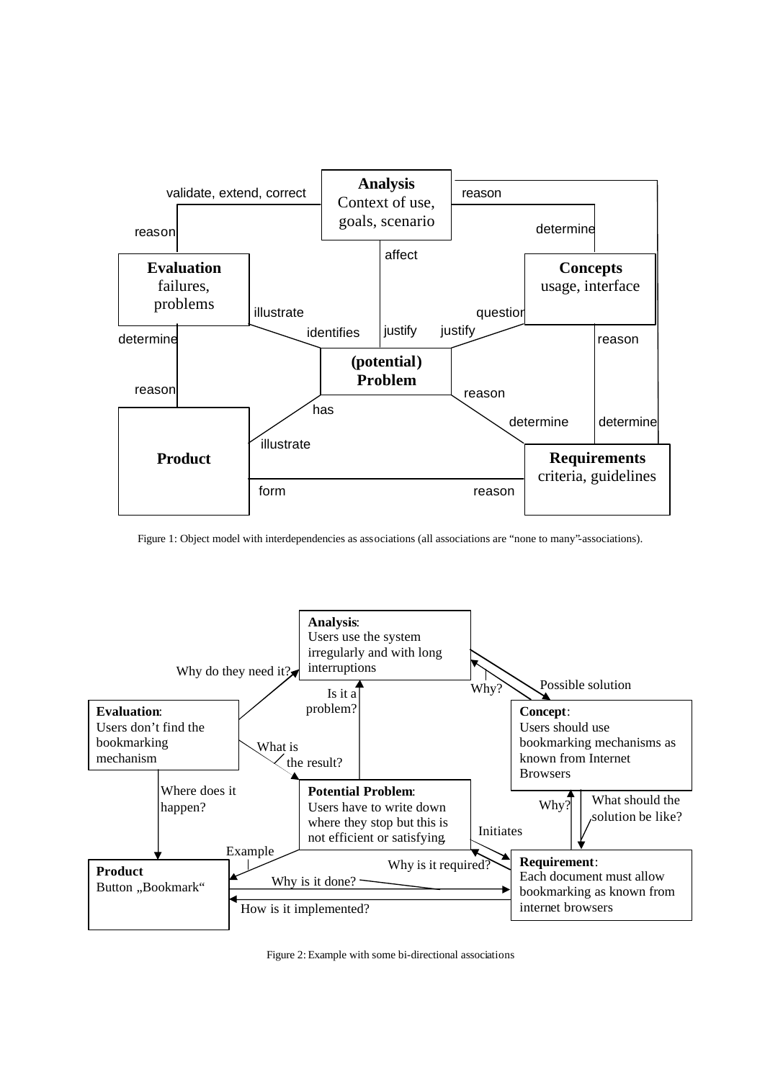

Figure 1: Object model with interdependencies as associations (all associations are "none to many"-associations).



Figure 2: Example with some bi-directional associations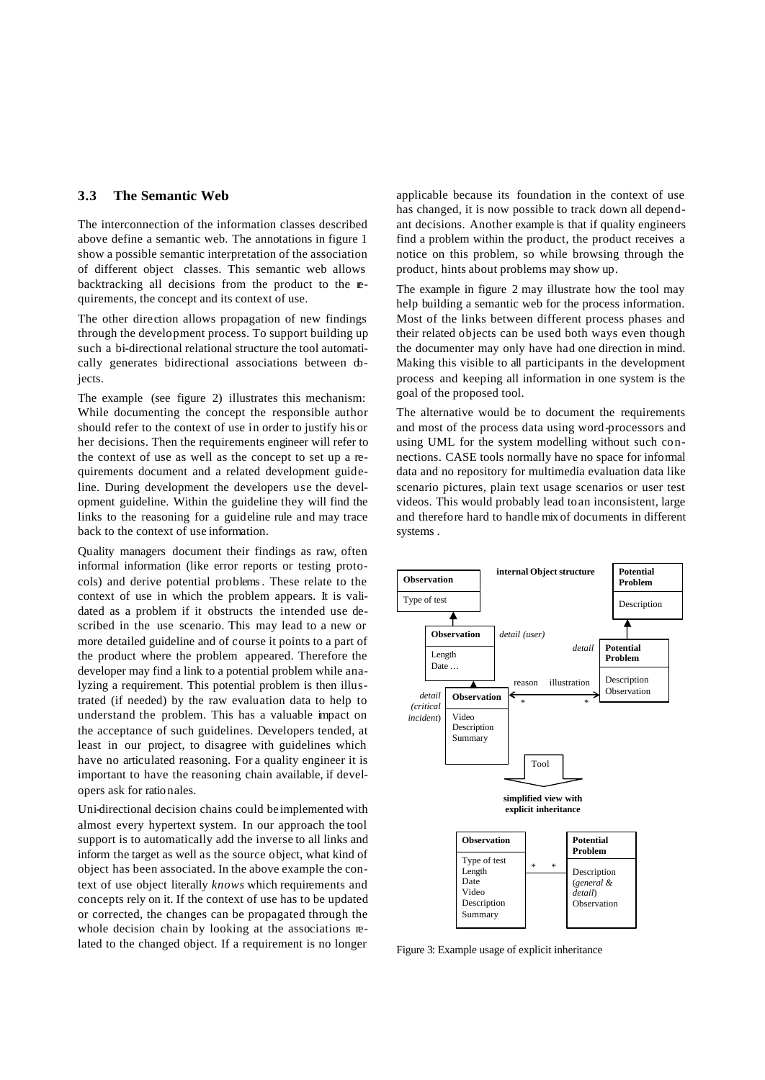## **3.3 The Semantic Web**

The interconnection of the information classes described above define a semantic web. The annotations in figure 1 show a possible semantic interpretation of the association of different object classes. This semantic web allows backtracking all decisions from the product to the **re**quirements, the concept and its context of use.

The other direction allows propagation of new findings through the development process. To support building up such a bi-directional relational structure the tool automatically generates bidirectional associations between objects.

The example (see figure 2) illustrates this mechanism: While documenting the concept the responsible author should refer to the context of use in order to justify his or her decisions. Then the requirements engineer will refer to the context of use as well as the concept to set up a requirements document and a related development guideline. During development the developers use the development guideline. Within the guideline they will find the links to the reasoning for a guideline rule and may trace back to the context of use information.

Quality managers document their findings as raw, often informal information (like error reports or testing protocols) and derive potential problems. These relate to the context of use in which the problem appears. It is validated as a problem if it obstructs the intended use described in the use scenario. This may lead to a new or more detailed guideline and of course it points to a part of the product where the problem appeared. Therefore the developer may find a link to a potential problem while analyzing a requirement. This potential problem is then illustrated (if needed) by the raw evaluation data to help to understand the problem. This has a valuable impact on the acceptance of such guidelines. Developers tended, at least in our project, to disagree with guidelines which have no articulated reasoning. For a quality engineer it is important to have the reasoning chain available, if developers ask for ratio nales.

Uni-directional decision chains could be implemented with almost every hypertext system. In our approach the tool support is to automatically add the inverse to all links and inform the target as well as the source object, what kind of object has been associated. In the above example the context of use object literally *knows* which requirements and concepts rely on it. If the context of use has to be updated or corrected, the changes can be propagated through the whole decision chain by looking at the associations related to the changed object. If a requirement is no longer

applicable because its foundation in the context of use has changed, it is now possible to track down all dependant decisions. Another example is that if quality engineers find a problem within the product, the product receives a notice on this problem, so while browsing through the product, hints about problems may show up.

The example in figure 2 may illustrate how the tool may help building a semantic web for the process information. Most of the links between different process phases and their related objects can be used both ways even though the documenter may only have had one direction in mind. Making this visible to all participants in the development process and keeping all information in one system is the goal of the proposed tool.

The alternative would be to document the requirements and most of the process data using word-processors and using UML for the system modelling without such connections. CASE tools normally have no space for informal data and no repository for multimedia evaluation data like scenario pictures, plain text usage scenarios or user test videos. This would probably lead to an inconsistent, large and therefore hard to handle mix of documents in different systems .



Figure 3: Example usage of explicit inheritance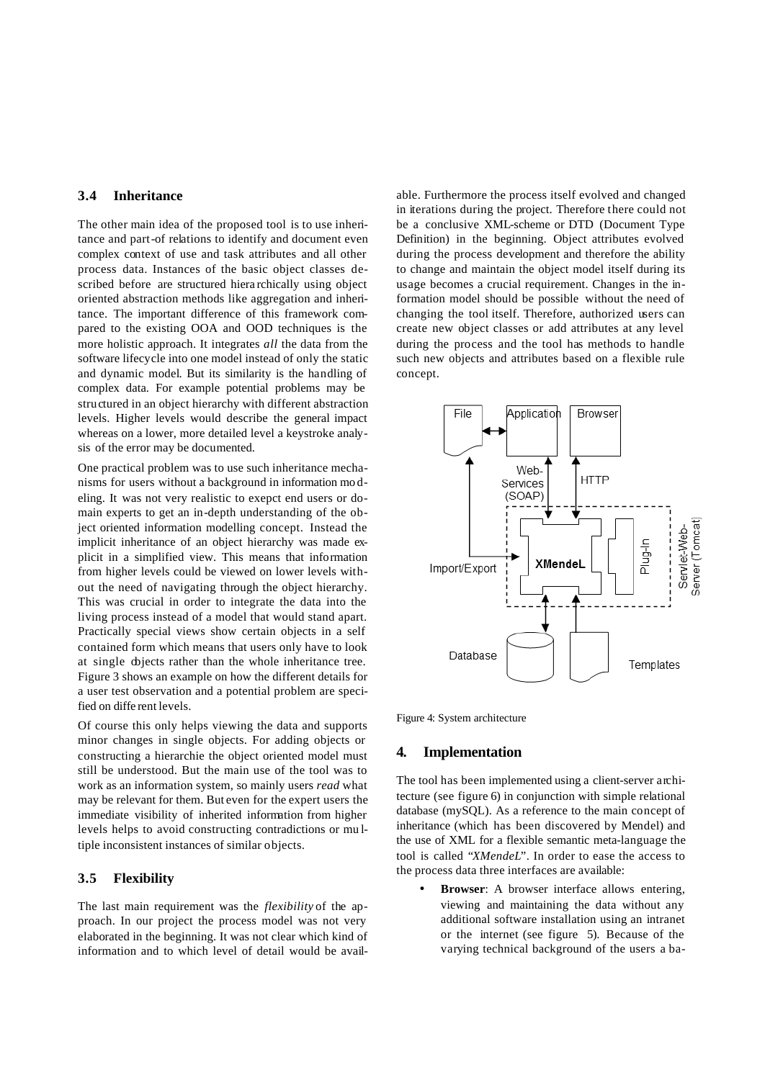# **3.4 Inheritance**

The other main idea of the proposed tool is to use inheritance and part-of relations to identify and document even complex context of use and task attributes and all other process data. Instances of the basic object classes described before are structured hiera rchically using object oriented abstraction methods like aggregation and inheritance. The important difference of this framework compared to the existing OOA and OOD techniques is the more holistic approach. It integrates *all* the data from the software lifecycle into one model instead of only the static and dynamic model. But its similarity is the handling of complex data. For example potential problems may be structured in an object hierarchy with different abstraction levels. Higher levels would describe the general impact whereas on a lower, more detailed level a keystroke analysis of the error may be documented.

One practical problem was to use such inheritance mechanisms for users without a background in information mo deling. It was not very realistic to exepct end users or domain experts to get an in-depth understanding of the object oriented information modelling concept. Instead the implicit inheritance of an object hierarchy was made explicit in a simplified view. This means that information from higher levels could be viewed on lower levels without the need of navigating through the object hierarchy. This was crucial in order to integrate the data into the living process instead of a model that would stand apart. Practically special views show certain objects in a self contained form which means that users only have to look at single objects rather than the whole inheritance tree. Figure 3 shows an example on how the different details for a user test observation and a potential problem are specified on diffe rent levels.

Of course this only helps viewing the data and supports minor changes in single objects. For adding objects or constructing a hierarchie the object oriented model must still be understood. But the main use of the tool was to work as an information system, so mainly users *read* what may be relevant for them. But even for the expert users the immediate visibility of inherited information from higher levels helps to avoid constructing contradictions or mu ltiple inconsistent instances of similar objects.

## **3.5 Flexibility**

The last main requirement was the *flexibility* of the approach. In our project the process model was not very elaborated in the beginning. It was not clear which kind of information and to which level of detail would be available. Furthermore the process itself evolved and changed in iterations during the project. Therefore there could not be a conclusive XML-scheme or DTD (Document Type Definition) in the beginning. Object attributes evolved during the process development and therefore the ability to change and maintain the object model itself during its usage becomes a crucial requirement. Changes in the information model should be possible without the need of changing the tool itself. Therefore, authorized users can create new object classes or add attributes at any level during the process and the tool has methods to handle such new objects and attributes based on a flexible rule concept.



Figure 4: System architecture

#### **4. Implementation**

The tool has been implemented using a client-server architecture (see figure 6) in conjunction with simple relational database (mySQL). As a reference to the main concept of inheritance (which has been discovered by Mendel) and the use of XML for a flexible semantic meta-language the tool is called "*XMendeL*". In order to ease the access to the process data three interfaces are available:

**Browser**: A browser interface allows entering, viewing and maintaining the data without any additional software installation using an intranet or the internet (see figure 5). Because of the varying technical background of the users a ba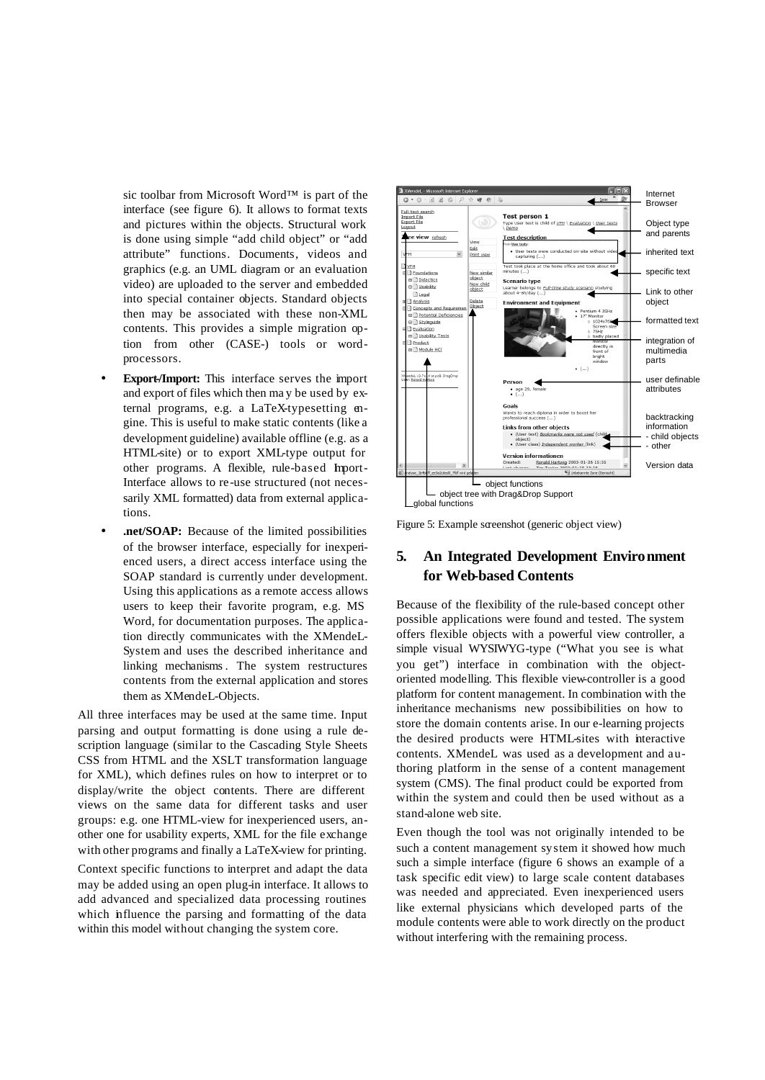sic toolbar from Microsoft Word™ is part of the interface (see figure 6). It allows to format texts and pictures within the objects. Structural work is done using simple "add child object" or "add attribute" functions. Documents, videos and graphics (e.g. an UML diagram or an evaluation video) are uploaded to the server and embedded into special container objects. Standard objects then may be associated with these non-XML contents. This provides a simple migration option from other (CASE-) tools or wordprocessors.

- **Export-/Import:** This interface serves the import and export of files which then ma y be used by external programs, e.g. a LaTeX-typesetting engine. This is useful to make static contents (like a development guideline) available offline (e.g. as a HTML-site) or to export XML-type output for other programs. A flexible, rule-based Import-Interface allows to re-use structured (not necessarily XML formatted) data from external applications.
- **.net/SOAP:** Because of the limited possibilities of the browser interface, especially for inexperienced users, a direct access interface using the SOAP standard is currently under development. Using this applications as a remote access allows users to keep their favorite program, e.g. MS Word, for documentation purposes. The application directly communicates with the XMendeL-System and uses the described inheritance and linking mechanisms . The system restructures contents from the external application and stores them as XMendeL-Objects.

All three interfaces may be used at the same time. Input parsing and output formatting is done using a rule description language (similar to the Cascading Style Sheets CSS from HTML and the XSLT transformation language for XML), which defines rules on how to interpret or to display/write the object contents. There are different views on the same data for different tasks and user groups: e.g. one HTML-view for inexperienced users, another one for usability experts, XML for the file exchange with other programs and finally a LaTeX-view for printing.

Context specific functions to interpret and adapt the data may be added using an open plug-in interface. It allows to add advanced and specialized data processing routines which influence the parsing and formatting of the data within this model without changing the system core.



Figure 5: Example screenshot (generic object view)

# **5. An Integrated Development Environment for Web-based Contents**

Because of the flexibility of the rule-based concept other possible applications were found and tested. The system offers flexible objects with a powerful view controller, a simple visual WYSIWYG-type ("What you see is what you get") interface in combination with the objectoriented modelling. This flexible view-controller is a good platform for content management. In combination with the inheritance mechanisms new possibibilities on how to store the domain contents arise. In our e-learning projects the desired products were HTML-sites with interactive contents. XMendeL was used as a development and authoring platform in the sense of a content management system (CMS). The final product could be exported from within the system and could then be used without as a stand-alone web site.

Even though the tool was not originally intended to be such a content management system it showed how much such a simple interface (figure 6 shows an example of a task specific edit view) to large scale content databases was needed and appreciated. Even inexperienced users like external physicians which developed parts of the module contents were able to work directly on the product without interfering with the remaining process.